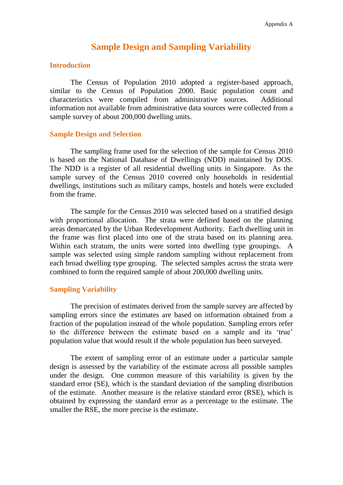# **Sample Design and Sampling Variability**

#### **Introduction**

The Census of Population 2010 adopted a register-based approach, similar to the Census of Population 2000. Basic population count and characteristics were compiled from administrative sources. Additional information not available from administrative data sources were collected from a sample survey of about 200,000 dwelling units.

#### **Sample Design and Selection**

The sampling frame used for the selection of the sample for Census 2010 is based on the National Database of Dwellings (NDD) maintained by DOS. The NDD is a register of all residential dwelling units in Singapore. As the sample survey of the Census 2010 covered only households in residential dwellings, institutions such as military camps, hostels and hotels were excluded from the frame.

The sample for the Census 2010 was selected based on a stratified design with proportional allocation. The strata were defined based on the planning areas demarcated by the Urban Redevelopment Authority. Each dwelling unit in the frame was first placed into one of the strata based on its planning area. Within each stratum, the units were sorted into dwelling type groupings. A sample was selected using simple random sampling without replacement from each broad dwelling type grouping. The selected samples across the strata were combined to form the required sample of about 200,000 dwelling units.

### **Sampling Variability**

The precision of estimates derived from the sample survey are affected by sampling errors since the estimates are based on information obtained from a fraction of the population instead of the whole population. Sampling errors refer to the difference between the estimate based on a sample and its "true" population value that would result if the whole population has been surveyed.

The extent of sampling error of an estimate under a particular sample design is assessed by the variability of the estimate across all possible samples under the design. One common measure of this variability is given by the standard error (SE), which is the standard deviation of the sampling distribution of the estimate. Another measure is the relative standard error (RSE), which is obtained by expressing the standard error as a percentage to the estimate. The smaller the RSE, the more precise is the estimate.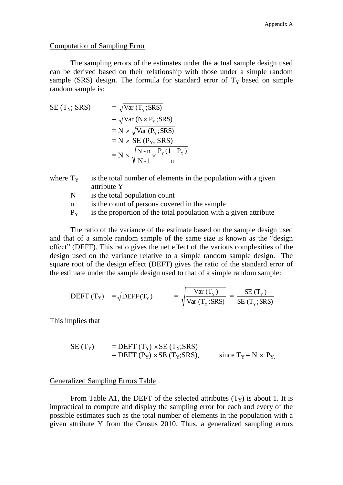#### Computation of Sampling Error

The sampling errors of the estimates under the actual sample design used can be derived based on their relationship with those under a simple random sample (SRS) design. The formula for standard error of  $T<sub>Y</sub>$  based on simple random sample is:

SE (T<sub>Y</sub>; SRS) = 
$$
\sqrt{\text{Var} (T_Y; SRS)}
$$
  
\n=  $\sqrt{\text{Var} (N \times P_Y; SRS)}$   
\n= N ×  $\sqrt{\text{Var} (P_Y; SRS)}$   
\n= N × SE (P<sub>Y</sub>; SRS)  
\n= N ×  $\sqrt{\frac{N - n}{N - 1} \times \frac{P_Y(1 - P_Y)}{n}}$ 

- where  $T_Y$  is the total number of elements in the population with a given attribute Y
	- N is the total population count
	- n is the count of persons covered in the sample
	- $P_Y$  is the proportion of the total population with a given attribute

The ratio of the variance of the estimate based on the sample design used and that of a simple random sample of the same size is known as the "design effect" (DEFF). This ratio gives the net effect of the various complexities of the design used on the variance relative to a simple random sample design. The square root of the design effect (DEFT) gives the ratio of the standard error of the estimate under the sample design used to that of a simple random sample:

$$
\text{DEFT (T_Y)} = \sqrt{\text{DEFF (T_Y)}} = \sqrt{\frac{\text{Var (T_Y)}}{\text{Var (T_Y; SRS)}}} = \frac{\text{SE (T_Y)}}{\text{SE (T_Y; SRS)}}
$$

This implies that

SE (TY) = DEFT (TY) SE (TY;SRS) = DEFT (PY) SE (TY;SRS), since TY = N PY.

#### Generalized Sampling Errors Table

From Table A1, the DEFT of the selected attributes  $(T_Y)$  is about 1. It is impractical to compute and display the sampling error for each and every of the possible estimates such as the total number of elements in the population with a given attribute Y from the Census 2010. Thus, a generalized sampling errors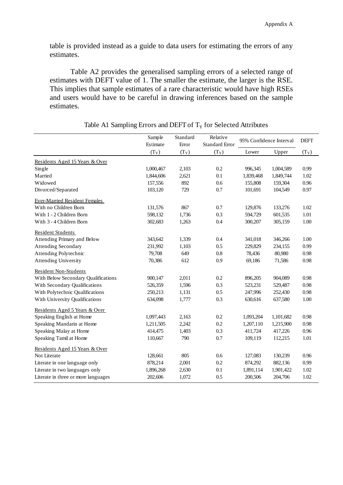table is provided instead as a guide to data users for estimating the errors of any estimates.

Table A2 provides the generalised sampling errors of a selected range of estimates with DEFT value of 1. The smaller the estimate, the larger is the RSE. This implies that sample estimates of a rare characteristic would have high RSEs and users would have to be careful in drawing inferences based on the sample estimates.

|                                      | Sample    | Standard      | Relative       | 95% Confidence Interval |           | <b>DEFT</b> |
|--------------------------------------|-----------|---------------|----------------|-------------------------|-----------|-------------|
|                                      | Estimate  | Error         | Standard Error |                         |           |             |
|                                      | $(T_Y)$   | $(T_{\rm Y})$ | $(T_Y)$        | Lower                   | Upper     | $(T_Y)$     |
| Residents Aged 15 Years & Over       |           |               |                |                         |           |             |
| Single                               | 1,000,467 | 2,103         | 0.2            | 996,345                 | 1,004,589 | 0.99        |
| Married                              | 1,844,606 | 2,621         | 0.1            | 1,839,468               | 1,849,744 | 1.02        |
| Widowed                              | 157,556   | 892           | 0.6            | 155,808                 | 159,304   | 0.96        |
| Divorced/Separated                   | 103,120   | 729           | 0.7            | 101,691                 | 104,549   | 0.97        |
| <b>Ever-Married Resident Females</b> |           |               |                |                         |           |             |
| With no Children Born                | 131,576   | 867           | 0.7            | 129,876                 | 133,276   | 1.02        |
| With 1 - 2 Children Born             | 598,132   | 1,736         | 0.3            | 594,729                 | 601,535   | 1.01        |
| With 3 - 4 Children Born             | 302,683   | 1,263         | 0.4            | 300,207                 | 305,159   | 1.00        |
| Resident Students                    |           |               |                |                         |           |             |
| Attending Primary and Below          | 343,642   | 1,339         | 0.4            | 341,018                 | 346,266   | 1.00        |
| <b>Attending Secondary</b>           | 231,992   | 1,103         | 0.5            | 229,829                 | 234,155   | 0.99        |
| Attending Polytechnic                | 79,708    | 649           | 0.8            | 78,436                  | 80,980    | 0.98        |
| <b>Attending University</b>          | 70,386    | 612           | 0.9            | 69,186                  | 71,586    | 0.98        |
| <b>Resident Non-Students</b>         |           |               |                |                         |           |             |
| With Below Secondary Qualifications  | 900,147   | 2,011         | 0.2            | 896,205                 | 904,089   | 0.98        |
| With Secondary Qualifications        | 526,359   | 1,596         | 0.3            | 523,231                 | 529,487   | 0.98        |
| With Polytechnic Qualifications      | 250,213   | 1,131         | 0.5            | 247,996                 | 252,430   | 0.98        |
| With University Qualifications       | 634,098   | 1,777         | 0.3            | 630,616                 | 637,580   | 1.00        |
| Residents Aged 5 Years & Over        |           |               |                |                         |           |             |
| Speaking English at Home             | 1,097,443 | 2,163         | 0.2            | 1,093,204               | 1,101,682 | 0.98        |
| Speaking Mandarin at Home            | 1,211,505 | 2,242         | 0.2            | 1,207,110               | 1,215,900 | 0.98        |
| Speaking Malay at Home               | 414,475   | 1,403         | 0.3            | 411,724                 | 417,226   | 0.96        |
| Speaking Tamil at Home               | 110,667   | 790           | 0.7            | 109,119                 | 112,215   | 1.01        |
| Residents Aged 15 Years & Over       |           |               |                |                         |           |             |
| Not Literate                         | 128,661   | 805           | 0.6            | 127,083                 | 130,239   | 0.96        |
| Literate in one language only        | 878,214   | 2,001         | 0.2            | 874,292                 | 882,136   | 0.99        |
| Literate in two languages only       | 1,896,268 | 2,630         | 0.1            | 1,891,114               | 1,901,422 | 1.02        |
| Literate in three or more languages  | 202,606   | 1,072         | 0.5            | 200,506                 | 204,706   | 1.02        |

## Table A1 Sampling Errors and DEFT of  $T<sub>Y</sub>$  for Selected Attributes